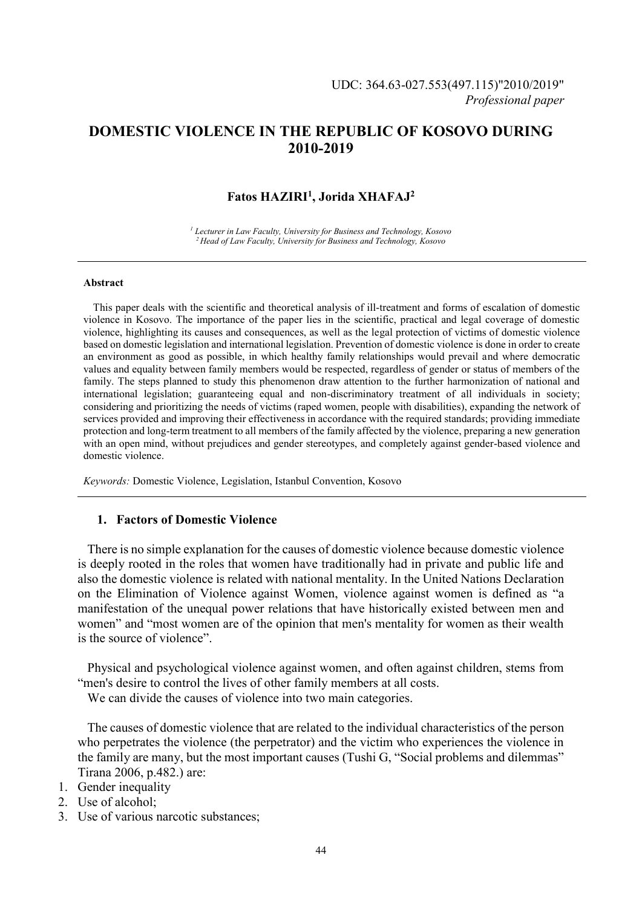# **DOMESTIC VIOLENCE IN THE REPUBLIC OF KOSOVO DURING 2010-2019**

## **Fatos HAZIRI<sup>1</sup> , Jorida XHAFAJ<sup>2</sup>**

*<sup>1</sup> Lecturer in Law Faculty, University for Business and Technology, Kosovo <sup>2</sup>Head of Law Faculty, University for Business and Technology, Kosovo*

#### **Abstract**

This paper deals with the scientific and theoretical analysis of ill-treatment and forms of escalation of domestic violence in Kosovo. The importance of the paper lies in the scientific, practical and legal coverage of domestic violence, highlighting its causes and consequences, as well as the legal protection of victims of domestic violence based on domestic legislation and international legislation. Prevention of domestic violence is done in order to create an environment as good as possible, in which healthy family relationships would prevail and where democratic values and equality between family members would be respected, regardless of gender or status of members of the family. The steps planned to study this phenomenon draw attention to the further harmonization of national and international legislation; guaranteeing equal and non-discriminatory treatment of all individuals in society; considering and prioritizing the needs of victims (raped women, people with disabilities), expanding the network of services provided and improving their effectiveness in accordance with the required standards; providing immediate protection and long-term treatment to all members of the family affected by the violence, preparing a new generation with an open mind, without prejudices and gender stereotypes, and completely against gender-based violence and domestic violence.

*Keywords:* Domestic Violence, Legislation, Istanbul Convention, Kosovo

#### **1. Factors of Domestic Violence**

There is no simple explanation for the causes of domestic violence because domestic violence is deeply rooted in the roles that women have traditionally had in private and public life and also the domestic violence is related with national mentality. In the United Nations Declaration on the Elimination of Violence against Women, violence against women is defined as "a manifestation of the unequal power relations that have historically existed between men and women" and "most women are of the opinion that men's mentality for women as their wealth is the source of violence".

Physical and psychological violence against women, and often against children, stems from "men's desire to control the lives of other family members at all costs.

We can divide the causes of violence into two main categories.

The causes of domestic violence that are related to the individual characteristics of the person who perpetrates the violence (the perpetrator) and the victim who experiences the violence in the family are many, but the most important causes (Tushi G, "Social problems and dilemmas" Tirana 2006, p.482.) are:

1. Gender inequality

- 2. Use of alcohol;
- 3. Use of various narcotic substances;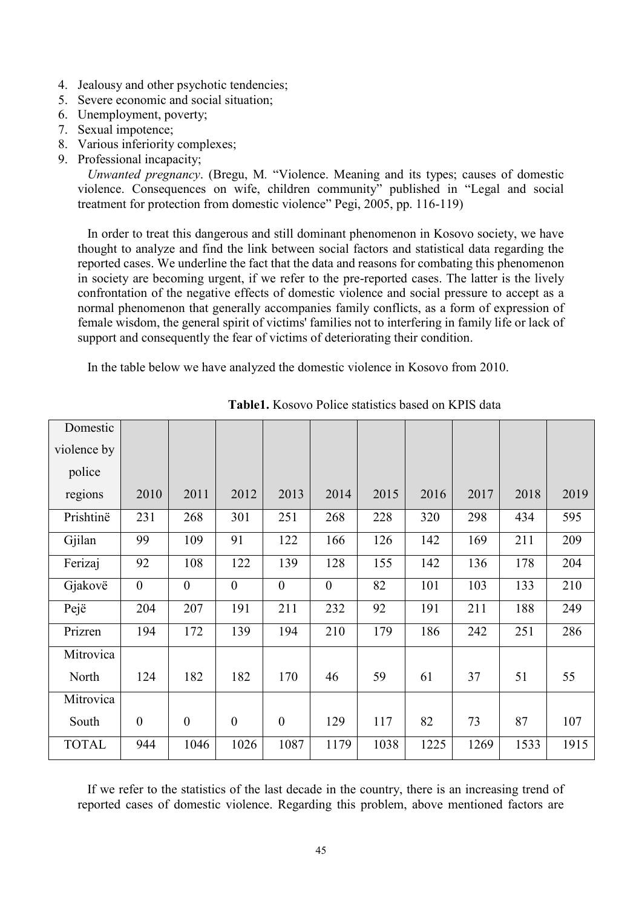- 4. Jealousy and other psychotic tendencies;
- 5. Severe economic and social situation;
- 6. Unemployment, poverty;
- 7. Sexual impotence;
- 8. Various inferiority complexes;
- 9. Professional incapacity;

*Unwanted pregnancy*. (Bregu, M*.* "Violence. Meaning and its types; causes of domestic violence. Consequences on wife, children community" published in "Legal and social treatment for protection from domestic violence" Pegi, 2005, pp. 116-119)

In order to treat this dangerous and still dominant phenomenon in Kosovo society, we have thought to analyze and find the link between social factors and statistical data regarding the reported cases. We underline the fact that the data and reasons for combating this phenomenon in society are becoming urgent, if we refer to the pre-reported cases. The latter is the lively confrontation of the negative effects of domestic violence and social pressure to accept as a normal phenomenon that generally accompanies family conflicts, as a form of expression of female wisdom, the general spirit of victims' families not to interfering in family life or lack of support and consequently the fear of victims of deteriorating their condition.

In the table below we have analyzed the domestic violence in Kosovo from 2010.

| Domestic     |                  |                  |                  |                  |                |      |      |      |      |      |
|--------------|------------------|------------------|------------------|------------------|----------------|------|------|------|------|------|
| violence by  |                  |                  |                  |                  |                |      |      |      |      |      |
| police       |                  |                  |                  |                  |                |      |      |      |      |      |
| regions      | 2010             | 2011             | 2012             | 2013             | 2014           | 2015 | 2016 | 2017 | 2018 | 2019 |
| Prishtinë    | 231              | 268              | 301              | 251              | 268            | 228  | 320  | 298  | 434  | 595  |
| Gjilan       | 99               | 109              | 91               | 122              | 166            | 126  | 142  | 169  | 211  | 209  |
| Ferizaj      | 92               | 108              | 122              | 139              | 128            | 155  | 142  | 136  | 178  | 204  |
| Gjakovë      | $\boldsymbol{0}$ | $\overline{0}$   | $\boldsymbol{0}$ | $\boldsymbol{0}$ | $\overline{0}$ | 82   | 101  | 103  | 133  | 210  |
| Pejë         | 204              | 207              | 191              | 211              | 232            | 92   | 191  | 211  | 188  | 249  |
| Prizren      | 194              | 172              | 139              | 194              | 210            | 179  | 186  | 242  | 251  | 286  |
| Mitrovica    |                  |                  |                  |                  |                |      |      |      |      |      |
| North        | 124              | 182              | 182              | 170              | 46             | 59   | 61   | 37   | 51   | 55   |
| Mitrovica    |                  |                  |                  |                  |                |      |      |      |      |      |
| South        | $\mathbf{0}$     | $\boldsymbol{0}$ | $\boldsymbol{0}$ | $\boldsymbol{0}$ | 129            | 117  | 82   | 73   | 87   | 107  |
| <b>TOTAL</b> | 944              | 1046             | 1026             | 1087             | 1179           | 1038 | 1225 | 1269 | 1533 | 1915 |

**Table1.** Kosovo Police statistics based on KPIS data

If we refer to the statistics of the last decade in the country, there is an increasing trend of reported cases of domestic violence. Regarding this problem, above mentioned factors are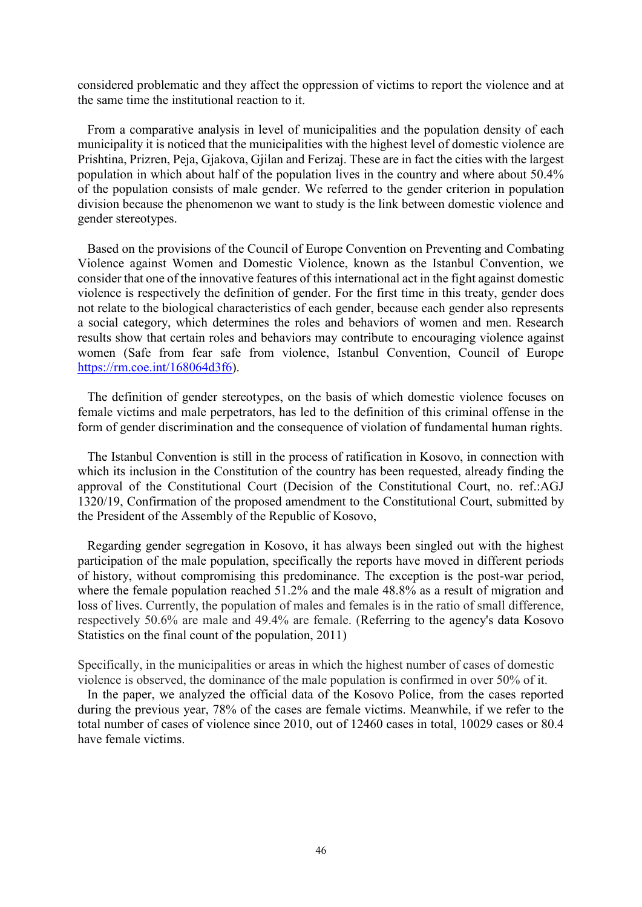considered problematic and they affect the oppression of victims to report the violence and at the same time the institutional reaction to it.

From a comparative analysis in level of municipalities and the population density of each municipality it is noticed that the municipalities with the highest level of domestic violence are Prishtina, Prizren, Peja, Gjakova, Gjilan and Ferizaj. These are in fact the cities with the largest population in which about half of the population lives in the country and where about 50.4% of the population consists of male gender. We referred to the gender criterion in population division because the phenomenon we want to study is the link between domestic violence and gender stereotypes.

Based on the provisions of the Council of Europe Convention on Preventing and Combating Violence against Women and Domestic Violence, known as the Istanbul Convention, we consider that one of the innovative features of this international act in the fight against domestic violence is respectively the definition of gender. For the first time in this treaty, gender does not relate to the biological characteristics of each gender, because each gender also represents a social category, which determines the roles and behaviors of women and men. Research results show that certain roles and behaviors may contribute to encouraging violence against women (Safe from fear safe from violence, Istanbul Convention, Council of Europe https://rm.coe.int/168064d3f6).

The definition of gender stereotypes, on the basis of which domestic violence focuses on female victims and male perpetrators, has led to the definition of this criminal offense in the form of gender discrimination and the consequence of violation of fundamental human rights.

The Istanbul Convention is still in the process of ratification in Kosovo, in connection with which its inclusion in the Constitution of the country has been requested, already finding the approval of the Constitutional Court (Decision of the Constitutional Court, no. ref.:AGJ 1320/19, Confirmation of the proposed amendment to the Constitutional Court, submitted by the President of the Assembly of the Republic of Kosovo,

Regarding gender segregation in Kosovo, it has always been singled out with the highest participation of the male population, specifically the reports have moved in different periods of history, without compromising this predominance. The exception is the post-war period, where the female population reached 51.2% and the male 48.8% as a result of migration and loss of lives. Currently, the population of males and females is in the ratio of small difference, respectively 50.6% are male and 49.4% are female. (Referring to the agency's data Kosovo Statistics on the final count of the population, 2011)

Specifically, in the municipalities or areas in which the highest number of cases of domestic violence is observed, the dominance of the male population is confirmed in over 50% of it.

In the paper, we analyzed the official data of the Kosovo Police, from the cases reported during the previous year, 78% of the cases are female victims. Meanwhile, if we refer to the total number of cases of violence since 2010, out of 12460 cases in total, 10029 cases or 80.4 have female victims.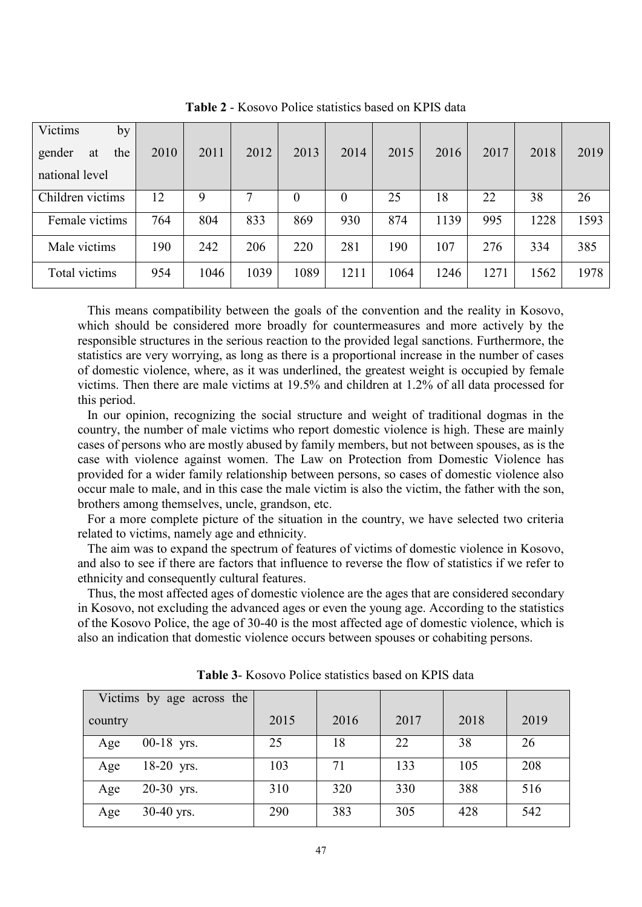| Victims<br>by       |      |      |      |                  |          |      |      |      |      |      |
|---------------------|------|------|------|------------------|----------|------|------|------|------|------|
| gender<br>the<br>at | 2010 | 2011 | 2012 | 2013             | 2014     | 2015 | 2016 | 2017 | 2018 | 2019 |
| national level      |      |      |      |                  |          |      |      |      |      |      |
| Children victims    | 12   | 9    | 7    | $\boldsymbol{0}$ | $\theta$ | 25   | 18   | 22   | 38   | 26   |
| Female victims      | 764  | 804  | 833  | 869              | 930      | 874  | 1139 | 995  | 1228 | 1593 |
| Male victims        | 190  | 242  | 206  | 220              | 281      | 190  | 107  | 276  | 334  | 385  |
| Total victims       | 954  | 1046 | 1039 | 1089             | 1211     | 1064 | 1246 | 1271 | 1562 | 1978 |

**Table 2** - Kosovo Police statistics based on KPIS data

This means compatibility between the goals of the convention and the reality in Kosovo, which should be considered more broadly for countermeasures and more actively by the responsible structures in the serious reaction to the provided legal sanctions. Furthermore, the statistics are very worrying, as long as there is a proportional increase in the number of cases of domestic violence, where, as it was underlined, the greatest weight is occupied by female victims. Then there are male victims at 19.5% and children at 1.2% of all data processed for this period.

In our opinion, recognizing the social structure and weight of traditional dogmas in the country, the number of male victims who report domestic violence is high. These are mainly cases of persons who are mostly abused by family members, but not between spouses, as is the case with violence against women. The Law on Protection from Domestic Violence has provided for a wider family relationship between persons, so cases of domestic violence also occur male to male, and in this case the male victim is also the victim, the father with the son, brothers among themselves, uncle, grandson, etc.

For a more complete picture of the situation in the country, we have selected two criteria related to victims, namely age and ethnicity.

The aim was to expand the spectrum of features of victims of domestic violence in Kosovo, and also to see if there are factors that influence to reverse the flow of statistics if we refer to ethnicity and consequently cultural features.

Thus, the most affected ages of domestic violence are the ages that are considered secondary in Kosovo, not excluding the advanced ages or even the young age. According to the statistics of the Kosovo Police, the age of 30-40 is the most affected age of domestic violence, which is also an indication that domestic violence occurs between spouses or cohabiting persons.

|         | Victims by age across the |      |      |      |      |      |
|---------|---------------------------|------|------|------|------|------|
| country |                           | 2015 | 2016 | 2017 | 2018 | 2019 |
| Age     | $00-18$ yrs.              | 25   | 18   | 22   | 38   | 26   |
| Age     | 18-20 yrs.                | 103  | 71   | 133  | 105  | 208  |
| Age     | 20-30 yrs.                | 310  | 320  | 330  | 388  | 516  |
| Age     | $30-40$ yrs.              | 290  | 383  | 305  | 428  | 542  |

**Table 3**- Kosovo Police statistics based on KPIS data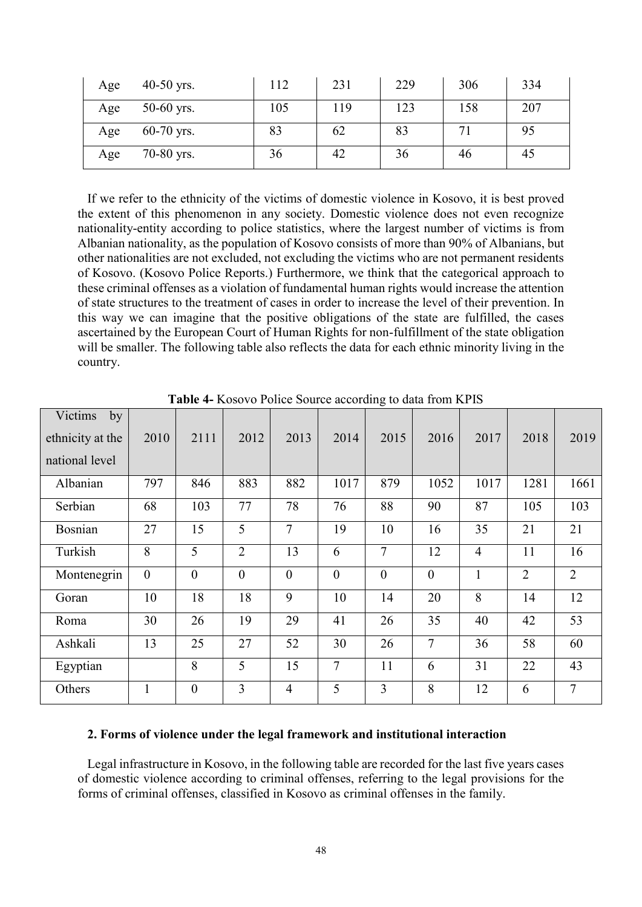| Age | 40-50 yrs.   | 112 | 231 | 229 | 306 | 334 |
|-----|--------------|-----|-----|-----|-----|-----|
| Age | $50-60$ yrs. | 105 | 119 | 123 | 158 | 207 |
| Age | $60-70$ yrs. | 83  | 62  | 83  | ⇁   | 95  |
| Age | $70-80$ yrs. | 36  | 42  | 36  | 46  | 45  |

If we refer to the ethnicity of the victims of domestic violence in Kosovo, it is best proved the extent of this phenomenon in any society. Domestic violence does not even recognize nationality-entity according to police statistics, where the largest number of victims is from Albanian nationality, as the population of Kosovo consists of more than 90% of Albanians, but other nationalities are not excluded, not excluding the victims who are not permanent residents of Kosovo. (Kosovo Police Reports.) Furthermore, we think that the categorical approach to these criminal offenses as a violation of fundamental human rights would increase the attention of state structures to the treatment of cases in order to increase the level of their prevention. In this way we can imagine that the positive obligations of the state are fulfilled, the cases ascertained by the European Court of Human Rights for non-fulfillment of the state obligation will be smaller. The following table also reflects the data for each ethnic minority living in the country.

| Victims<br>by    |                |                  |                |                |                |          |                |                |                |                |
|------------------|----------------|------------------|----------------|----------------|----------------|----------|----------------|----------------|----------------|----------------|
| ethnicity at the | 2010           | 2111             | 2012           | 2013           | 2014           | 2015     | 2016           | 2017           | 2018           | 2019           |
| national level   |                |                  |                |                |                |          |                |                |                |                |
| Albanian         | 797            | 846              | 883            | 882            | 1017           | 879      | 1052           | 1017           | 1281           | 1661           |
| Serbian          | 68             | 103              | 77             | 78             | 76             | 88       | 90             | 87             | 105            | 103            |
| <b>Bosnian</b>   | 27             | 15               | 5              | $\overline{7}$ | 19             | 10       | 16             | 35             | 21             | 21             |
| Turkish          | 8              | 5                | $\overline{2}$ | 13             | 6              | $\tau$   | 12             | $\overline{4}$ | 11             | 16             |
| Montenegrin      | $\overline{0}$ | $\overline{0}$   | $\overline{0}$ | $\overline{0}$ | $\overline{0}$ | $\theta$ | $\overline{0}$ | $\mathbf{1}$   | $\overline{2}$ | $\overline{2}$ |
| Goran            | 10             | 18               | 18             | 9              | 10             | 14       | 20             | 8              | 14             | 12             |
| Roma             | 30             | 26               | 19             | 29             | 41             | 26       | 35             | 40             | 42             | 53             |
| Ashkali          | 13             | 25               | 27             | 52             | 30             | 26       | 7              | 36             | 58             | 60             |
| Egyptian         |                | 8                | 5              | 15             | 7              | 11       | 6              | 31             | 22             | 43             |
| Others           | $\mathbf{1}$   | $\boldsymbol{0}$ | $\overline{3}$ | $\overline{4}$ | 5              | 3        | 8              | 12             | 6              | 7              |

**Table 4-** Kosovo Police Source according to data from KPIS

## **2. Forms of violence under the legal framework and institutional interaction**

Legal infrastructure in Kosovo, in the following table are recorded for the last five years cases of domestic violence according to criminal offenses, referring to the legal provisions for the forms of criminal offenses, classified in Kosovo as criminal offenses in the family.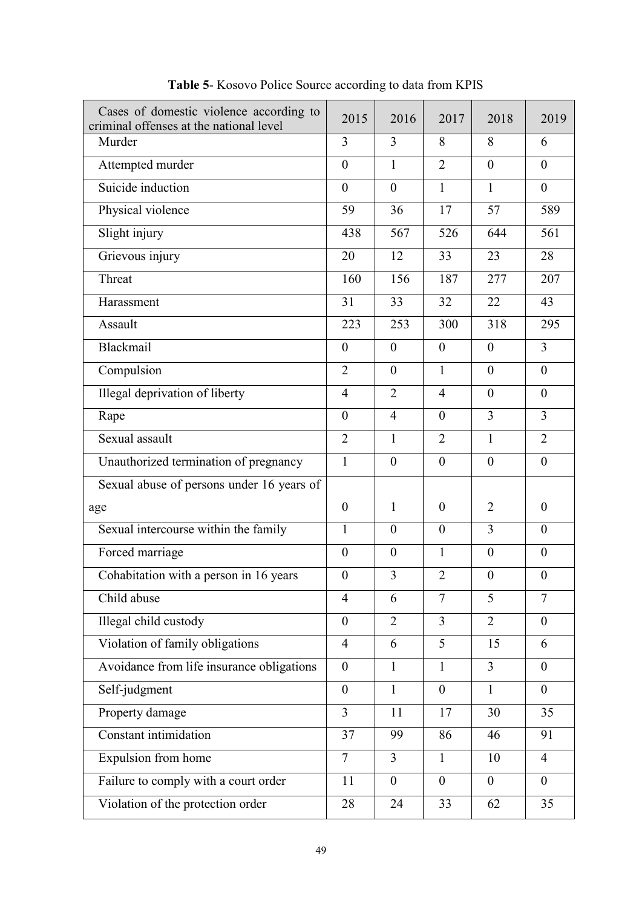| Cases of domestic violence according to<br>criminal offenses at the national level | 2015             | 2016             | 2017             | 2018             | 2019             |
|------------------------------------------------------------------------------------|------------------|------------------|------------------|------------------|------------------|
| Murder                                                                             | 3                | $\overline{3}$   | 8                | 8                | 6                |
| Attempted murder                                                                   | $\overline{0}$   | 1                | $\overline{2}$   | $\overline{0}$   | $\theta$         |
| Suicide induction                                                                  | $\overline{0}$   | $\theta$         | $\mathbf{1}$     | 1                | $\boldsymbol{0}$ |
| Physical violence                                                                  | 59               | 36               | 17               | 57               | 589              |
| Slight injury                                                                      | 438              | 567              | 526              | 644              | 561              |
| Grievous injury                                                                    | 20               | 12               | 33               | 23               | 28               |
| Threat                                                                             | 160              | 156              | 187              | 277              | 207              |
| Harassment                                                                         | 31               | 33               | 32               | 22               | 43               |
| Assault                                                                            | 223              | 253              | 300              | 318              | 295              |
| Blackmail                                                                          | $\theta$         | $\boldsymbol{0}$ | $\theta$         | $\boldsymbol{0}$ | 3                |
| Compulsion                                                                         | $\overline{2}$   | $\mathbf{0}$     | $\mathbf{1}$     | $\mathbf{0}$     | $\boldsymbol{0}$ |
| Illegal deprivation of liberty                                                     | $\overline{4}$   | $\overline{2}$   | $\overline{4}$   | $\boldsymbol{0}$ | $\boldsymbol{0}$ |
| Rape                                                                               | $\theta$         | $\overline{4}$   | $\overline{0}$   | $\overline{3}$   | 3                |
| Sexual assault                                                                     | $\overline{2}$   | 1                | $\overline{2}$   | $\mathbf{1}$     | $\overline{2}$   |
| Unauthorized termination of pregnancy                                              | $\mathbf{1}$     | $\overline{0}$   | $\mathbf{0}$     | $\boldsymbol{0}$ | $\overline{0}$   |
| Sexual abuse of persons under 16 years of                                          |                  |                  |                  |                  |                  |
| age                                                                                | $\theta$         | 1                | $\boldsymbol{0}$ | $\overline{2}$   | $\theta$         |
| Sexual intercourse within the family                                               | 1                | $\theta$         | $\theta$         | $\overline{3}$   | $\theta$         |
| Forced marriage                                                                    | $\overline{0}$   | $\theta$         | 1                | $\boldsymbol{0}$ | $\boldsymbol{0}$ |
| Cohabitation with a person in 16 years                                             | $\boldsymbol{0}$ | 3                | $\overline{2}$   | $\boldsymbol{0}$ | $\boldsymbol{0}$ |
| Child abuse                                                                        | $\overline{4}$   | 6                | $\overline{7}$   | 5                | $\overline{7}$   |
| Illegal child custody                                                              | $\mathbf{0}$     | $\overline{2}$   | $\overline{3}$   | $\overline{2}$   | $\boldsymbol{0}$ |
| Violation of family obligations                                                    | $\overline{4}$   | 6                | 5                | 15               | 6                |
| Avoidance from life insurance obligations                                          | $\overline{0}$   | $\mathbf{1}$     | $\mathbf{1}$     | $\overline{3}$   | $\overline{0}$   |
| Self-judgment                                                                      | $\overline{0}$   | $\mathbf{1}$     | $\mathbf{0}$     | $\mathbf{1}$     | $\overline{0}$   |
| Property damage                                                                    | $\overline{3}$   | 11               | 17               | 30               | 35               |
| Constant intimidation                                                              | 37               | 99               | 86               | 46               | 91               |
| Expulsion from home                                                                | $\overline{7}$   | $\overline{3}$   | $\mathbf{1}$     | 10               | $\overline{4}$   |
| Failure to comply with a court order                                               | 11               | $\mathbf{0}$     | $\overline{0}$   | $\overline{0}$   | $\boldsymbol{0}$ |
| Violation of the protection order                                                  | 28               | 24               | 33               | 62               | 35               |

**Table 5**- Kosovo Police Source according to data from KPIS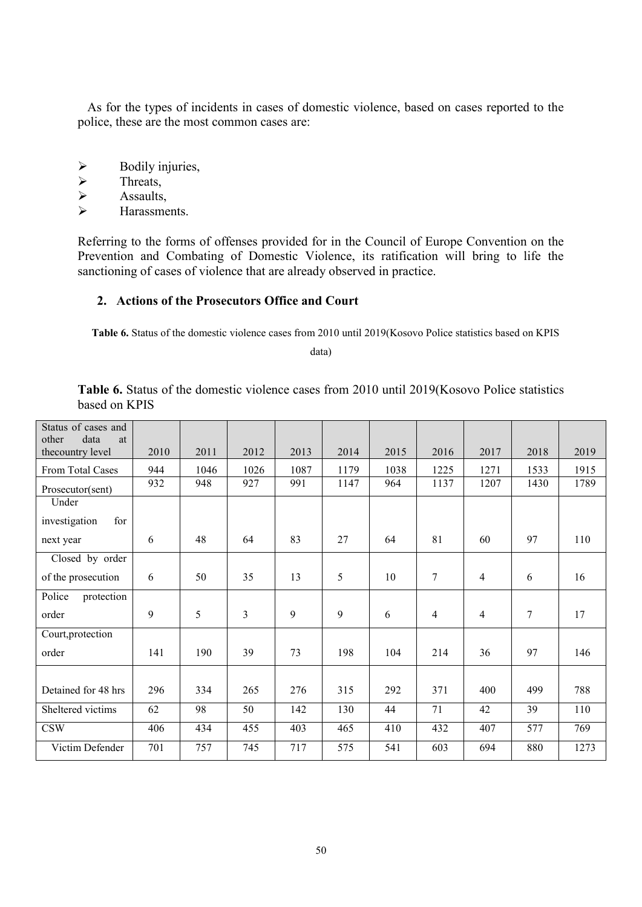As for the types of incidents in cases of domestic violence, based on cases reported to the police, these are the most common cases are:

- A Bodily injuries,<br>
Assaults,
- Threats,
- $\triangleright$  Assaults,<br> $\triangleright$  Harassme
- Harassments.

Referring to the forms of offenses provided for in the Council of Europe Convention on the Prevention and Combating of Domestic Violence, its ratification will bring to life the sanctioning of cases of violence that are already observed in practice.

# **2. Actions of the Prosecutors Office and Court**

**Table 6.** Status of the domestic violence cases from 2010 until 2019(Kosovo Police statistics based on KPIS

data)

| Status of cases and<br>data<br>other<br>at |      |      |                |      |      |      |                |                |        |      |
|--------------------------------------------|------|------|----------------|------|------|------|----------------|----------------|--------|------|
| thecountry level                           | 2010 | 2011 | 2012           | 2013 | 2014 | 2015 | 2016           | 2017           | 2018   | 2019 |
| From Total Cases                           | 944  | 1046 | 1026           | 1087 | 1179 | 1038 | 1225           | 1271           | 1533   | 1915 |
| Prosecutor(sent)                           | 932  | 948  | 927            | 991  | 1147 | 964  | 1137           | 1207           | 1430   | 1789 |
| Under                                      |      |      |                |      |      |      |                |                |        |      |
| investigation<br>for                       |      |      |                |      |      |      |                |                |        |      |
| next year                                  | 6    | 48   | 64             | 83   | 27   | 64   | 81             | 60             | 97     | 110  |
| Closed by order                            |      |      |                |      |      |      |                |                |        |      |
| of the prosecution                         | 6    | 50   | 35             | 13   | 5    | 10   | 7              | $\overline{4}$ | 6      | 16   |
| Police<br>protection                       |      |      |                |      |      |      |                |                |        |      |
| order                                      | 9    | 5    | $\overline{3}$ | 9    | 9    | 6    | $\overline{4}$ | $\overline{4}$ | $\tau$ | 17   |
| Court, protection                          |      |      |                |      |      |      |                |                |        |      |
| order                                      | 141  | 190  | 39             | 73   | 198  | 104  | 214            | 36             | 97     | 146  |
|                                            |      |      |                |      |      |      |                |                |        |      |
| Detained for 48 hrs                        | 296  | 334  | 265            | 276  | 315  | 292  | 371            | 400            | 499    | 788  |
| Sheltered victims                          | 62   | 98   | 50             | 142  | 130  | 44   | 71             | 42             | 39     | 110  |
| $\mathbf{CSW}$                             | 406  | 434  | 455            | 403  | 465  | 410  | 432            | 407            | 577    | 769  |
| Victim Defender                            | 701  | 757  | 745            | 717  | 575  | 541  | 603            | 694            | 880    | 1273 |

|               |  |  |  | <b>Table 6.</b> Status of the domestic violence cases from 2010 until 2019 (Kosovo Police statistics |  |
|---------------|--|--|--|------------------------------------------------------------------------------------------------------|--|
| based on KPIS |  |  |  |                                                                                                      |  |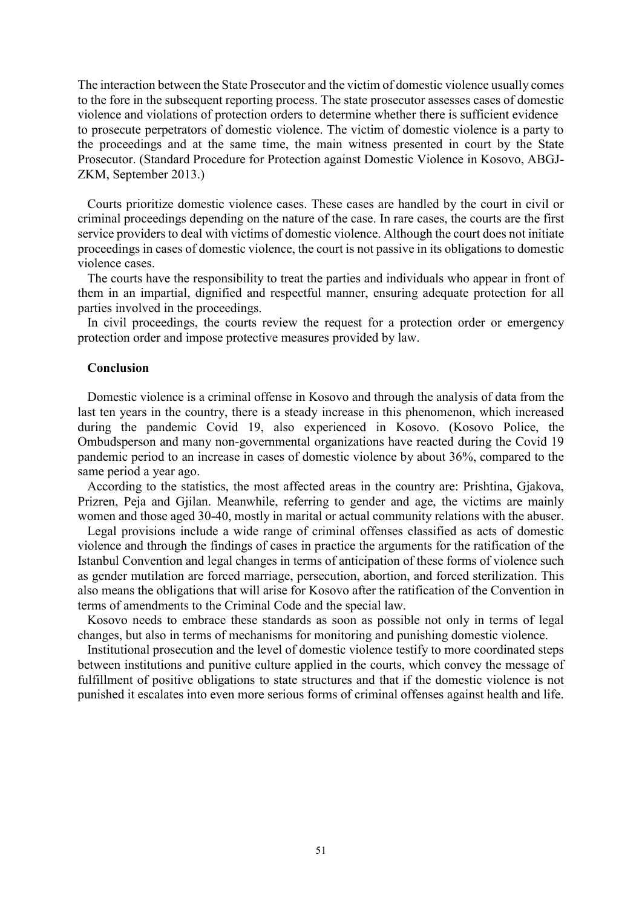The interaction between the State Prosecutor and the victim of domestic violence usually comes to the fore in the subsequent reporting process. The state prosecutor assesses cases of domestic violence and violations of protection orders to determine whether there is sufficient evidence to prosecute perpetrators of domestic violence. The victim of domestic violence is a party to the proceedings and at the same time, the main witness presented in court by the State Prosecutor. (Standard Procedure for Protection against Domestic Violence in Kosovo, ABGJ-ZKM, September 2013.)

Courts prioritize domestic violence cases. These cases are handled by the court in civil or criminal proceedings depending on the nature of the case. In rare cases, the courts are the first service providers to deal with victims of domestic violence. Although the court does not initiate proceedings in cases of domestic violence, the court is not passive in its obligations to domestic violence cases.

The courts have the responsibility to treat the parties and individuals who appear in front of them in an impartial, dignified and respectful manner, ensuring adequate protection for all parties involved in the proceedings.

In civil proceedings, the courts review the request for a protection order or emergency protection order and impose protective measures provided by law.

#### **Conclusion**

Domestic violence is a criminal offense in Kosovo and through the analysis of data from the last ten years in the country, there is a steady increase in this phenomenon, which increased during the pandemic Covid 19, also experienced in Kosovo. (Kosovo Police, the Ombudsperson and many non-governmental organizations have reacted during the Covid 19 pandemic period to an increase in cases of domestic violence by about 36%, compared to the same period a year ago.

According to the statistics, the most affected areas in the country are: Prishtina, Gjakova, Prizren, Peja and Gjilan. Meanwhile, referring to gender and age, the victims are mainly women and those aged 30-40, mostly in marital or actual community relations with the abuser.

Legal provisions include a wide range of criminal offenses classified as acts of domestic violence and through the findings of cases in practice the arguments for the ratification of the Istanbul Convention and legal changes in terms of anticipation of these forms of violence such as gender mutilation are forced marriage, persecution, abortion, and forced sterilization. This also means the obligations that will arise for Kosovo after the ratification of the Convention in terms of amendments to the Criminal Code and the special law.

Kosovo needs to embrace these standards as soon as possible not only in terms of legal changes, but also in terms of mechanisms for monitoring and punishing domestic violence.

Institutional prosecution and the level of domestic violence testify to more coordinated steps between institutions and punitive culture applied in the courts, which convey the message of fulfillment of positive obligations to state structures and that if the domestic violence is not punished it escalates into even more serious forms of criminal offenses against health and life.